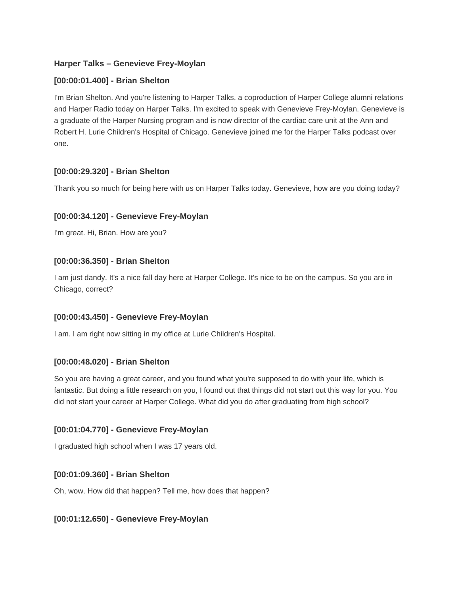# **Harper Talks – Genevieve Frey-Moylan**

### **[00:00:01.400] - Brian Shelton**

I'm Brian Shelton. And you're listening to Harper Talks, a coproduction of Harper College alumni relations and Harper Radio today on Harper Talks. I'm excited to speak with Genevieve Frey-Moylan. Genevieve is a graduate of the Harper Nursing program and is now director of the cardiac care unit at the Ann and Robert H. Lurie Children's Hospital of Chicago. Genevieve joined me for the Harper Talks podcast over one.

### **[00:00:29.320] - Brian Shelton**

Thank you so much for being here with us on Harper Talks today. Genevieve, how are you doing today?

### **[00:00:34.120] - Genevieve Frey-Moylan**

I'm great. Hi, Brian. How are you?

### **[00:00:36.350] - Brian Shelton**

I am just dandy. It's a nice fall day here at Harper College. It's nice to be on the campus. So you are in Chicago, correct?

### **[00:00:43.450] - Genevieve Frey-Moylan**

I am. I am right now sitting in my office at Lurie Children's Hospital.

### **[00:00:48.020] - Brian Shelton**

So you are having a great career, and you found what you're supposed to do with your life, which is fantastic. But doing a little research on you, I found out that things did not start out this way for you. You did not start your career at Harper College. What did you do after graduating from high school?

### **[00:01:04.770] - Genevieve Frey-Moylan**

I graduated high school when I was 17 years old.

### **[00:01:09.360] - Brian Shelton**

Oh, wow. How did that happen? Tell me, how does that happen?

### **[00:01:12.650] - Genevieve Frey-Moylan**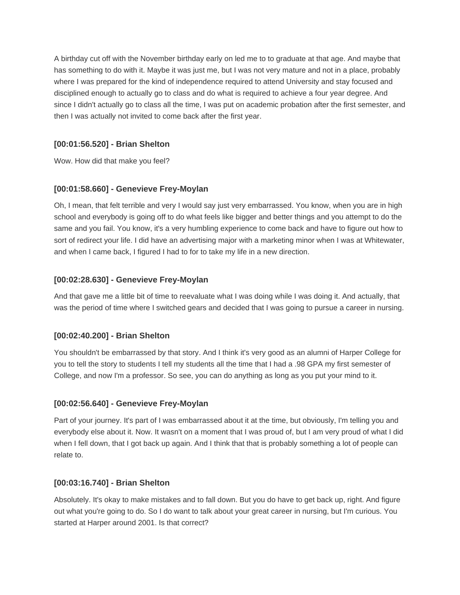A birthday cut off with the November birthday early on led me to to graduate at that age. And maybe that has something to do with it. Maybe it was just me, but I was not very mature and not in a place, probably where I was prepared for the kind of independence required to attend University and stay focused and disciplined enough to actually go to class and do what is required to achieve a four year degree. And since I didn't actually go to class all the time, I was put on academic probation after the first semester, and then I was actually not invited to come back after the first year.

# **[00:01:56.520] - Brian Shelton**

Wow. How did that make you feel?

# **[00:01:58.660] - Genevieve Frey-Moylan**

Oh, I mean, that felt terrible and very I would say just very embarrassed. You know, when you are in high school and everybody is going off to do what feels like bigger and better things and you attempt to do the same and you fail. You know, it's a very humbling experience to come back and have to figure out how to sort of redirect your life. I did have an advertising major with a marketing minor when I was at Whitewater, and when I came back, I figured I had to for to take my life in a new direction.

# **[00:02:28.630] - Genevieve Frey-Moylan**

And that gave me a little bit of time to reevaluate what I was doing while I was doing it. And actually, that was the period of time where I switched gears and decided that I was going to pursue a career in nursing.

# **[00:02:40.200] - Brian Shelton**

You shouldn't be embarrassed by that story. And I think it's very good as an alumni of Harper College for you to tell the story to students I tell my students all the time that I had a .98 GPA my first semester of College, and now I'm a professor. So see, you can do anything as long as you put your mind to it.

# **[00:02:56.640] - Genevieve Frey-Moylan**

Part of your journey. It's part of I was embarrassed about it at the time, but obviously, I'm telling you and everybody else about it. Now. It wasn't on a moment that I was proud of, but I am very proud of what I did when I fell down, that I got back up again. And I think that that is probably something a lot of people can relate to.

### **[00:03:16.740] - Brian Shelton**

Absolutely. It's okay to make mistakes and to fall down. But you do have to get back up, right. And figure out what you're going to do. So I do want to talk about your great career in nursing, but I'm curious. You started at Harper around 2001. Is that correct?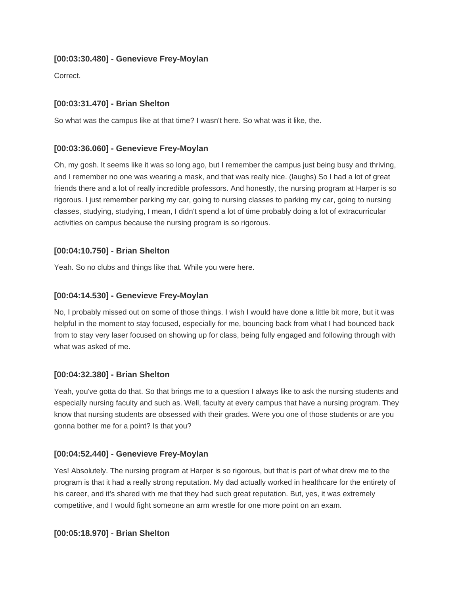## **[00:03:30.480] - Genevieve Frey-Moylan**

Correct.

# **[00:03:31.470] - Brian Shelton**

So what was the campus like at that time? I wasn't here. So what was it like, the.

## **[00:03:36.060] - Genevieve Frey-Moylan**

Oh, my gosh. It seems like it was so long ago, but I remember the campus just being busy and thriving, and I remember no one was wearing a mask, and that was really nice. (laughs) So I had a lot of great friends there and a lot of really incredible professors. And honestly, the nursing program at Harper is so rigorous. I just remember parking my car, going to nursing classes to parking my car, going to nursing classes, studying, studying, I mean, I didn't spend a lot of time probably doing a lot of extracurricular activities on campus because the nursing program is so rigorous.

# **[00:04:10.750] - Brian Shelton**

Yeah. So no clubs and things like that. While you were here.

## **[00:04:14.530] - Genevieve Frey-Moylan**

No, I probably missed out on some of those things. I wish I would have done a little bit more, but it was helpful in the moment to stay focused, especially for me, bouncing back from what I had bounced back from to stay very laser focused on showing up for class, being fully engaged and following through with what was asked of me.

### **[00:04:32.380] - Brian Shelton**

Yeah, you've gotta do that. So that brings me to a question I always like to ask the nursing students and especially nursing faculty and such as. Well, faculty at every campus that have a nursing program. They know that nursing students are obsessed with their grades. Were you one of those students or are you gonna bother me for a point? Is that you?

### **[00:04:52.440] - Genevieve Frey-Moylan**

Yes! Absolutely. The nursing program at Harper is so rigorous, but that is part of what drew me to the program is that it had a really strong reputation. My dad actually worked in healthcare for the entirety of his career, and it's shared with me that they had such great reputation. But, yes, it was extremely competitive, and I would fight someone an arm wrestle for one more point on an exam.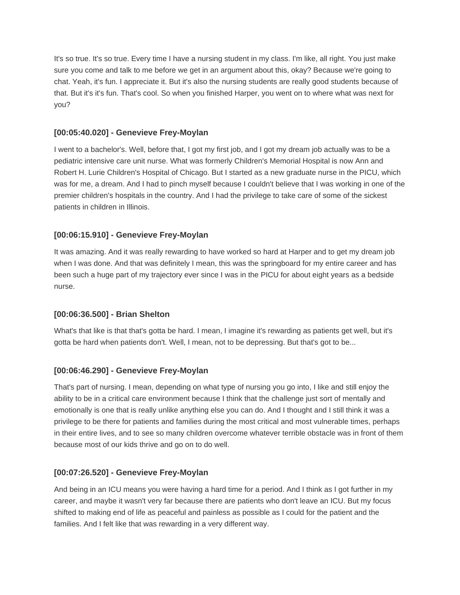It's so true. It's so true. Every time I have a nursing student in my class. I'm like, all right. You just make sure you come and talk to me before we get in an argument about this, okay? Because we're going to chat. Yeah, it's fun. I appreciate it. But it's also the nursing students are really good students because of that. But it's it's fun. That's cool. So when you finished Harper, you went on to where what was next for you?

# **[00:05:40.020] - Genevieve Frey-Moylan**

I went to a bachelor's. Well, before that, I got my first job, and I got my dream job actually was to be a pediatric intensive care unit nurse. What was formerly Children's Memorial Hospital is now Ann and Robert H. Lurie Children's Hospital of Chicago. But I started as a new graduate nurse in the PICU, which was for me, a dream. And I had to pinch myself because I couldn't believe that I was working in one of the premier children's hospitals in the country. And I had the privilege to take care of some of the sickest patients in children in Illinois.

# **[00:06:15.910] - Genevieve Frey-Moylan**

It was amazing. And it was really rewarding to have worked so hard at Harper and to get my dream job when I was done. And that was definitely I mean, this was the springboard for my entire career and has been such a huge part of my trajectory ever since I was in the PICU for about eight years as a bedside nurse.

### **[00:06:36.500] - Brian Shelton**

What's that like is that that's gotta be hard. I mean, I imagine it's rewarding as patients get well, but it's gotta be hard when patients don't. Well, I mean, not to be depressing. But that's got to be...

### **[00:06:46.290] - Genevieve Frey-Moylan**

That's part of nursing. I mean, depending on what type of nursing you go into, I like and still enjoy the ability to be in a critical care environment because I think that the challenge just sort of mentally and emotionally is one that is really unlike anything else you can do. And I thought and I still think it was a privilege to be there for patients and families during the most critical and most vulnerable times, perhaps in their entire lives, and to see so many children overcome whatever terrible obstacle was in front of them because most of our kids thrive and go on to do well.

### **[00:07:26.520] - Genevieve Frey-Moylan**

And being in an ICU means you were having a hard time for a period. And I think as I got further in my career, and maybe it wasn't very far because there are patients who don't leave an ICU. But my focus shifted to making end of life as peaceful and painless as possible as I could for the patient and the families. And I felt like that was rewarding in a very different way.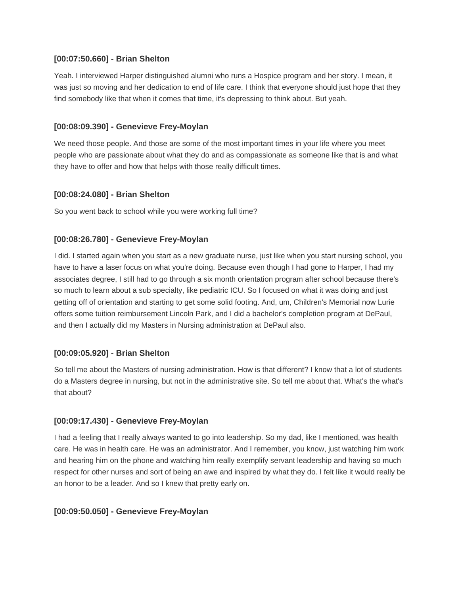#### **[00:07:50.660] - Brian Shelton**

Yeah. I interviewed Harper distinguished alumni who runs a Hospice program and her story. I mean, it was just so moving and her dedication to end of life care. I think that everyone should just hope that they find somebody like that when it comes that time, it's depressing to think about. But yeah.

### **[00:08:09.390] - Genevieve Frey-Moylan**

We need those people. And those are some of the most important times in your life where you meet people who are passionate about what they do and as compassionate as someone like that is and what they have to offer and how that helps with those really difficult times.

### **[00:08:24.080] - Brian Shelton**

So you went back to school while you were working full time?

### **[00:08:26.780] - Genevieve Frey-Moylan**

I did. I started again when you start as a new graduate nurse, just like when you start nursing school, you have to have a laser focus on what you're doing. Because even though I had gone to Harper, I had my associates degree, I still had to go through a six month orientation program after school because there's so much to learn about a sub specialty, like pediatric ICU. So I focused on what it was doing and just getting off of orientation and starting to get some solid footing. And, um, Children's Memorial now Lurie offers some tuition reimbursement Lincoln Park, and I did a bachelor's completion program at DePaul, and then I actually did my Masters in Nursing administration at DePaul also.

### **[00:09:05.920] - Brian Shelton**

So tell me about the Masters of nursing administration. How is that different? I know that a lot of students do a Masters degree in nursing, but not in the administrative site. So tell me about that. What's the what's that about?

### **[00:09:17.430] - Genevieve Frey-Moylan**

I had a feeling that I really always wanted to go into leadership. So my dad, like I mentioned, was health care. He was in health care. He was an administrator. And I remember, you know, just watching him work and hearing him on the phone and watching him really exemplify servant leadership and having so much respect for other nurses and sort of being an awe and inspired by what they do. I felt like it would really be an honor to be a leader. And so I knew that pretty early on.

### **[00:09:50.050] - Genevieve Frey-Moylan**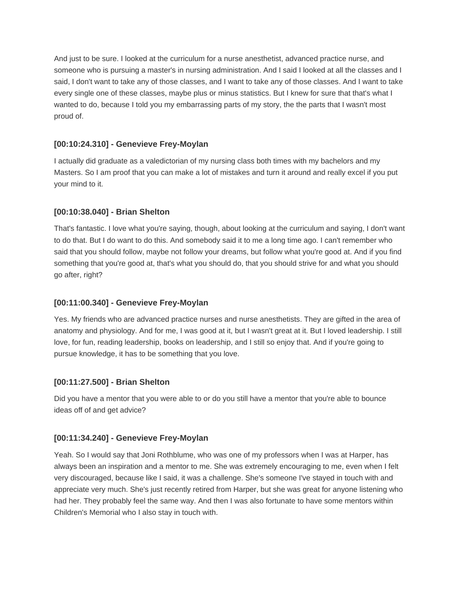And just to be sure. I looked at the curriculum for a nurse anesthetist, advanced practice nurse, and someone who is pursuing a master's in nursing administration. And I said I looked at all the classes and I said, I don't want to take any of those classes, and I want to take any of those classes. And I want to take every single one of these classes, maybe plus or minus statistics. But I knew for sure that that's what I wanted to do, because I told you my embarrassing parts of my story, the the parts that I wasn't most proud of.

## **[00:10:24.310] - Genevieve Frey-Moylan**

I actually did graduate as a valedictorian of my nursing class both times with my bachelors and my Masters. So I am proof that you can make a lot of mistakes and turn it around and really excel if you put your mind to it.

# **[00:10:38.040] - Brian Shelton**

That's fantastic. I love what you're saying, though, about looking at the curriculum and saying, I don't want to do that. But I do want to do this. And somebody said it to me a long time ago. I can't remember who said that you should follow, maybe not follow your dreams, but follow what you're good at. And if you find something that you're good at, that's what you should do, that you should strive for and what you should go after, right?

## **[00:11:00.340] - Genevieve Frey-Moylan**

Yes. My friends who are advanced practice nurses and nurse anesthetists. They are gifted in the area of anatomy and physiology. And for me, I was good at it, but I wasn't great at it. But I loved leadership. I still love, for fun, reading leadership, books on leadership, and I still so enjoy that. And if you're going to pursue knowledge, it has to be something that you love.

### **[00:11:27.500] - Brian Shelton**

Did you have a mentor that you were able to or do you still have a mentor that you're able to bounce ideas off of and get advice?

# **[00:11:34.240] - Genevieve Frey-Moylan**

Yeah. So I would say that Joni Rothblume, who was one of my professors when I was at Harper, has always been an inspiration and a mentor to me. She was extremely encouraging to me, even when I felt very discouraged, because like I said, it was a challenge. She's someone I've stayed in touch with and appreciate very much. She's just recently retired from Harper, but she was great for anyone listening who had her. They probably feel the same way. And then I was also fortunate to have some mentors within Children's Memorial who I also stay in touch with.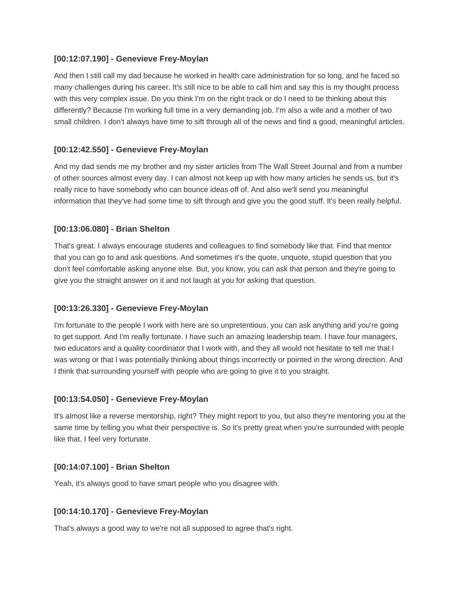### **[00:12:07.190] - Genevieve Frey-Moylan**

And then I still call my dad because he worked in health care administration for so long, and he faced so many challenges during his career. It's still nice to be able to call him and say this is my thought process with this very complex issue. Do you think I'm on the right track or do I need to be thinking about this differently? Because I'm working full time in a very demanding job. I'm also a wife and a mother of two small children. I don't always have time to sift through all of the news and find a good, meaningful articles.

#### **[00:12:42.550] - Genevieve Frey-Moylan**

And my dad sends me my brother and my sister articles from The Wall Street Journal and from a number of other sources almost every day. I can almost not keep up with how many articles he sends us, but it's really nice to have somebody who can bounce ideas off of. And also we'll send you meaningful information that they've had some time to sift through and give you the good stuff. It's been really helpful.

#### **[00:13:06.080] - Brian Shelton**

That's great. I always encourage students and colleagues to find somebody like that. Find that mentor that you can go to and ask questions. And sometimes it's the quote, unquote, stupid question that you don't feel comfortable asking anyone else. But, you know, you can ask that person and they're going to give you the straight answer on it and not laugh at you for asking that question.

### **[00:13:26.330] - Genevieve Frey-Moylan**

I'm fortunate to the people I work with here are so unpretentious, you can ask anything and you're going to get support. And I'm really fortunate. I have such an amazing leadership team. I have four managers, two educators and a quality coordinator that I work with, and they all would not hesitate to tell me that I was wrong or that I was potentially thinking about things incorrectly or pointed in the wrong direction. And I think that surrounding yourself with people who are going to give it to you straight.

### **[00:13:54.050] - Genevieve Frey-Moylan**

It's almost like a reverse mentorship, right? They might report to you, but also they're mentoring you at the same time by telling you what their perspective is. So it's pretty great when you're surrounded with people like that. I feel very fortunate.

### **[00:14:07.100] - Brian Shelton**

Yeah, it's always good to have smart people who you disagree with.

#### **[00:14:10.170] - Genevieve Frey-Moylan**

That's always a good way to we're not all supposed to agree that's right.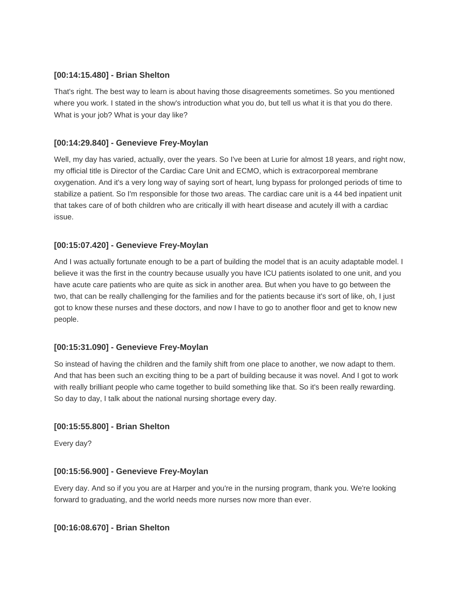#### **[00:14:15.480] - Brian Shelton**

That's right. The best way to learn is about having those disagreements sometimes. So you mentioned where you work. I stated in the show's introduction what you do, but tell us what it is that you do there. What is your job? What is your day like?

#### **[00:14:29.840] - Genevieve Frey-Moylan**

Well, my day has varied, actually, over the years. So I've been at Lurie for almost 18 years, and right now, my official title is Director of the Cardiac Care Unit and ECMO, which is extracorporeal membrane oxygenation. And it's a very long way of saying sort of heart, lung bypass for prolonged periods of time to stabilize a patient. So I'm responsible for those two areas. The cardiac care unit is a 44 bed inpatient unit that takes care of of both children who are critically ill with heart disease and acutely ill with a cardiac issue.

#### **[00:15:07.420] - Genevieve Frey-Moylan**

And I was actually fortunate enough to be a part of building the model that is an acuity adaptable model. I believe it was the first in the country because usually you have ICU patients isolated to one unit, and you have acute care patients who are quite as sick in another area. But when you have to go between the two, that can be really challenging for the families and for the patients because it's sort of like, oh, I just got to know these nurses and these doctors, and now I have to go to another floor and get to know new people.

### **[00:15:31.090] - Genevieve Frey-Moylan**

So instead of having the children and the family shift from one place to another, we now adapt to them. And that has been such an exciting thing to be a part of building because it was novel. And I got to work with really brilliant people who came together to build something like that. So it's been really rewarding. So day to day, I talk about the national nursing shortage every day.

### **[00:15:55.800] - Brian Shelton**

Every day?

#### **[00:15:56.900] - Genevieve Frey-Moylan**

Every day. And so if you you are at Harper and you're in the nursing program, thank you. We're looking forward to graduating, and the world needs more nurses now more than ever.

#### **[00:16:08.670] - Brian Shelton**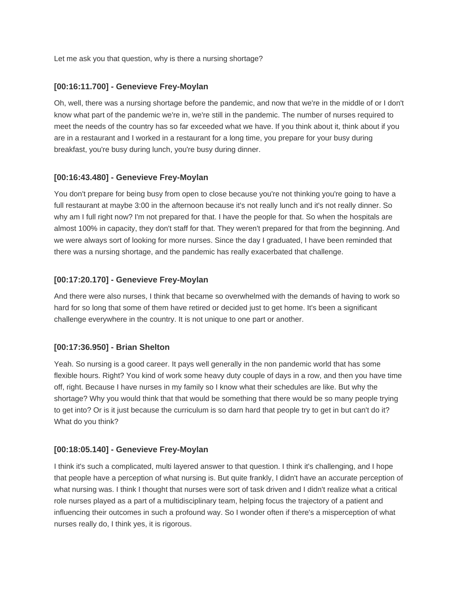Let me ask you that question, why is there a nursing shortage?

### **[00:16:11.700] - Genevieve Frey-Moylan**

Oh, well, there was a nursing shortage before the pandemic, and now that we're in the middle of or I don't know what part of the pandemic we're in, we're still in the pandemic. The number of nurses required to meet the needs of the country has so far exceeded what we have. If you think about it, think about if you are in a restaurant and I worked in a restaurant for a long time, you prepare for your busy during breakfast, you're busy during lunch, you're busy during dinner.

#### **[00:16:43.480] - Genevieve Frey-Moylan**

You don't prepare for being busy from open to close because you're not thinking you're going to have a full restaurant at maybe 3:00 in the afternoon because it's not really lunch and it's not really dinner. So why am I full right now? I'm not prepared for that. I have the people for that. So when the hospitals are almost 100% in capacity, they don't staff for that. They weren't prepared for that from the beginning. And we were always sort of looking for more nurses. Since the day I graduated, I have been reminded that there was a nursing shortage, and the pandemic has really exacerbated that challenge.

#### **[00:17:20.170] - Genevieve Frey-Moylan**

And there were also nurses, I think that became so overwhelmed with the demands of having to work so hard for so long that some of them have retired or decided just to get home. It's been a significant challenge everywhere in the country. It is not unique to one part or another.

### **[00:17:36.950] - Brian Shelton**

Yeah. So nursing is a good career. It pays well generally in the non pandemic world that has some flexible hours. Right? You kind of work some heavy duty couple of days in a row, and then you have time off, right. Because I have nurses in my family so I know what their schedules are like. But why the shortage? Why you would think that that would be something that there would be so many people trying to get into? Or is it just because the curriculum is so darn hard that people try to get in but can't do it? What do you think?

#### **[00:18:05.140] - Genevieve Frey-Moylan**

I think it's such a complicated, multi layered answer to that question. I think it's challenging, and I hope that people have a perception of what nursing is. But quite frankly, I didn't have an accurate perception of what nursing was. I think I thought that nurses were sort of task driven and I didn't realize what a critical role nurses played as a part of a multidisciplinary team, helping focus the trajectory of a patient and influencing their outcomes in such a profound way. So I wonder often if there's a misperception of what nurses really do, I think yes, it is rigorous.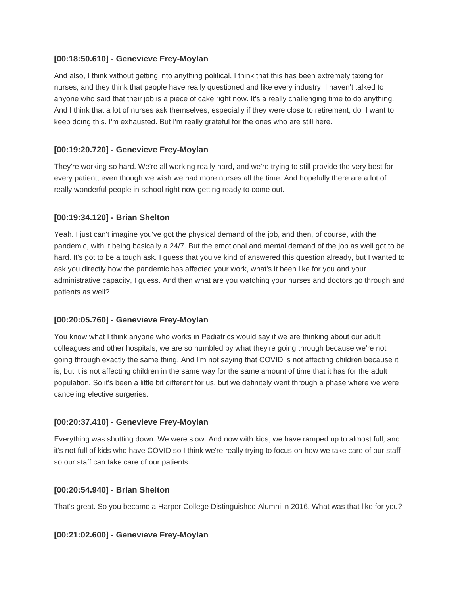#### **[00:18:50.610] - Genevieve Frey-Moylan**

And also, I think without getting into anything political, I think that this has been extremely taxing for nurses, and they think that people have really questioned and like every industry, I haven't talked to anyone who said that their job is a piece of cake right now. It's a really challenging time to do anything. And I think that a lot of nurses ask themselves, especially if they were close to retirement, do I want to keep doing this. I'm exhausted. But I'm really grateful for the ones who are still here.

### **[00:19:20.720] - Genevieve Frey-Moylan**

They're working so hard. We're all working really hard, and we're trying to still provide the very best for every patient, even though we wish we had more nurses all the time. And hopefully there are a lot of really wonderful people in school right now getting ready to come out.

#### **[00:19:34.120] - Brian Shelton**

Yeah. I just can't imagine you've got the physical demand of the job, and then, of course, with the pandemic, with it being basically a 24/7. But the emotional and mental demand of the job as well got to be hard. It's got to be a tough ask. I guess that you've kind of answered this question already, but I wanted to ask you directly how the pandemic has affected your work, what's it been like for you and your administrative capacity, I guess. And then what are you watching your nurses and doctors go through and patients as well?

### **[00:20:05.760] - Genevieve Frey-Moylan**

You know what I think anyone who works in Pediatrics would say if we are thinking about our adult colleagues and other hospitals, we are so humbled by what they're going through because we're not going through exactly the same thing. And I'm not saying that COVID is not affecting children because it is, but it is not affecting children in the same way for the same amount of time that it has for the adult population. So it's been a little bit different for us, but we definitely went through a phase where we were canceling elective surgeries.

#### **[00:20:37.410] - Genevieve Frey-Moylan**

Everything was shutting down. We were slow. And now with kids, we have ramped up to almost full, and it's not full of kids who have COVID so I think we're really trying to focus on how we take care of our staff so our staff can take care of our patients.

#### **[00:20:54.940] - Brian Shelton**

That's great. So you became a Harper College Distinguished Alumni in 2016. What was that like for you?

#### **[00:21:02.600] - Genevieve Frey-Moylan**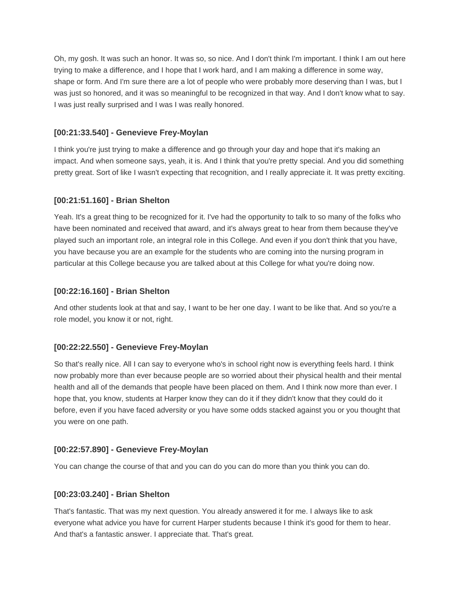Oh, my gosh. It was such an honor. It was so, so nice. And I don't think I'm important. I think I am out here trying to make a difference, and I hope that I work hard, and I am making a difference in some way, shape or form. And I'm sure there are a lot of people who were probably more deserving than I was, but I was just so honored, and it was so meaningful to be recognized in that way. And I don't know what to say. I was just really surprised and I was I was really honored.

## **[00:21:33.540] - Genevieve Frey-Moylan**

I think you're just trying to make a difference and go through your day and hope that it's making an impact. And when someone says, yeah, it is. And I think that you're pretty special. And you did something pretty great. Sort of like I wasn't expecting that recognition, and I really appreciate it. It was pretty exciting.

# **[00:21:51.160] - Brian Shelton**

Yeah. It's a great thing to be recognized for it. I've had the opportunity to talk to so many of the folks who have been nominated and received that award, and it's always great to hear from them because they've played such an important role, an integral role in this College. And even if you don't think that you have, you have because you are an example for the students who are coming into the nursing program in particular at this College because you are talked about at this College for what you're doing now.

### **[00:22:16.160] - Brian Shelton**

And other students look at that and say, I want to be her one day. I want to be like that. And so you're a role model, you know it or not, right.

### **[00:22:22.550] - Genevieve Frey-Moylan**

So that's really nice. All I can say to everyone who's in school right now is everything feels hard. I think now probably more than ever because people are so worried about their physical health and their mental health and all of the demands that people have been placed on them. And I think now more than ever. I hope that, you know, students at Harper know they can do it if they didn't know that they could do it before, even if you have faced adversity or you have some odds stacked against you or you thought that you were on one path.

### **[00:22:57.890] - Genevieve Frey-Moylan**

You can change the course of that and you can do you can do more than you think you can do.

### **[00:23:03.240] - Brian Shelton**

That's fantastic. That was my next question. You already answered it for me. I always like to ask everyone what advice you have for current Harper students because I think it's good for them to hear. And that's a fantastic answer. I appreciate that. That's great.